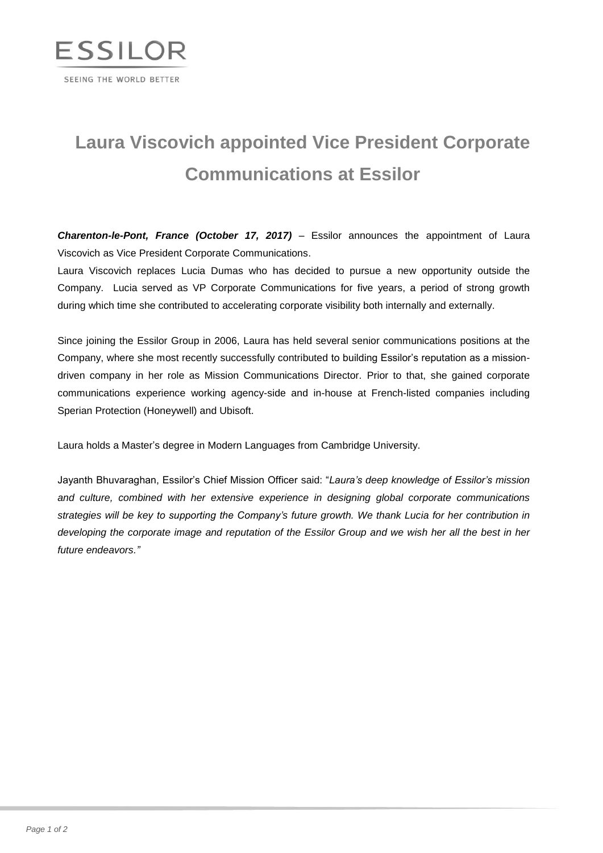

## **Laura Viscovich appointed Vice President Corporate Communications at Essilor**

*Charenton-le-Pont, France (October 17, 2017)* – Essilor announces the appointment of Laura Viscovich as Vice President Corporate Communications.

Laura Viscovich replaces Lucia Dumas who has decided to pursue a new opportunity outside the Company. Lucia served as VP Corporate Communications for five years, a period of strong growth during which time she contributed to accelerating corporate visibility both internally and externally.

Since joining the Essilor Group in 2006, Laura has held several senior communications positions at the Company, where she most recently successfully contributed to building Essilor's reputation as a missiondriven company in her role as Mission Communications Director. Prior to that, she gained corporate communications experience working agency-side and in-house at French-listed companies including Sperian Protection (Honeywell) and Ubisoft.

Laura holds a Master's degree in Modern Languages from Cambridge University.

Jayanth Bhuvaraghan, Essilor's Chief Mission Officer said: "*Laura's deep knowledge of Essilor's mission and culture, combined with her extensive experience in designing global corporate communications strategies will be key to supporting the Company's future growth. We thank Lucia for her contribution in developing the corporate image and reputation of the Essilor Group and we wish her all the best in her future endeavors."*